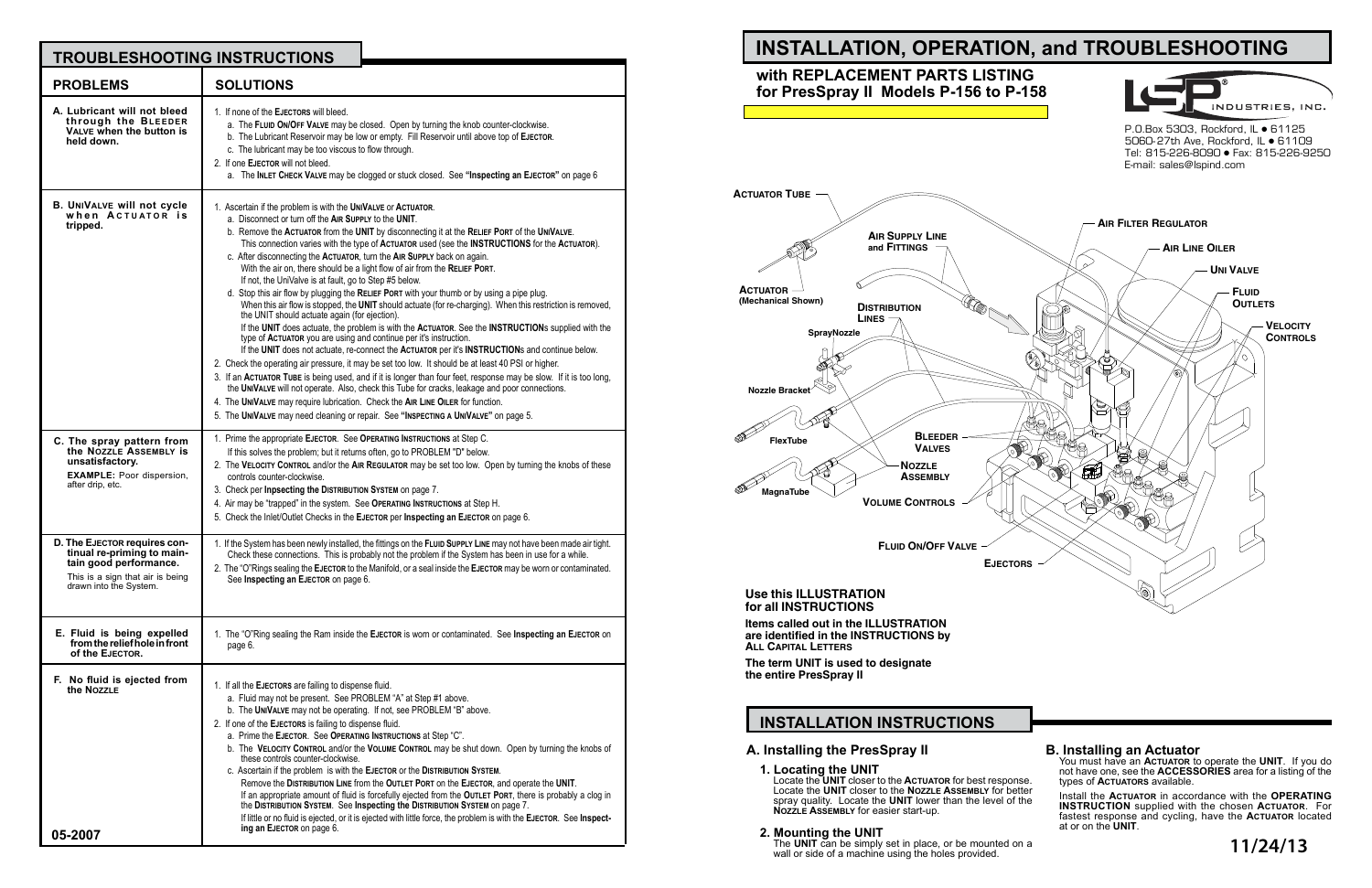## **A. Installing the PresSpray II**

The **UNIT** can be simply set in place, or be mounted on a wall or side of a machine using the holes provided.

## **2. Mounting the UNIT**

# **INSTALLATION INSTRUCTIONS**

## **B. Installing an Actuator**

You must have an **Actuator** to operate the **UNIT**. If you do not have one, see the **ACCESSORIES** area for a listing of the types of **Actuators** available.

Install the **Actuator** in accordance with the **OPERATING INSTRUCTION** supplied with the chosen **Actuator**. For fastest response and cycling, have the **Actuator** located at or on the **UNIT**.

## **INSTALLATION, OPERATION, and TROUBLESHOOTING with REPLACEMENT PARTS LISTING for PresSpray II Models P-156 to P-158** INDUSTRIES, INC. P.O.Box 5303, Rockford, IL • 61125 5060-27th Ave, Rockford, IL • 61109 Tel: 815-226-8090 Fax: 815-226-9250 E-mail: sales@lspind.com**AIR FILTER REGULATOR A S L IR UPPLY INE F and ITTINGS AIR LINE OILER**  $\sim$ **UNI VALVE F LUID**  $\mathbb{Q}_0$  , **O UTLETS D ISTRIBUTION L INES V ELOCITY SprayNozzle C ONTROLS B LEEDER FlexTube V ALVES N OZZLE A SSEMBLY MagnaTube**  $\triangleright$ **VOLUME CONTROLS**

| <b>TROUBLESHOOTING INSTRUCTIONS</b>                                                                                                                |                                                                                                                                                                                                                                                                                                                                                                                                                                                                                                                                                                                                                                                                                                                                                                                                                                                                                                                                                                                                                                                                                                                                                                                                                                                                                                                                                                                                                                                                                                                                                                                                 | <b>INSTALLATION, OPERATION, and TROUBLESHOOTING</b>                                                                                                                                                                                                                                                                                                                                                                                                                                                                                                                                                                                                                                                                                                                |
|----------------------------------------------------------------------------------------------------------------------------------------------------|-------------------------------------------------------------------------------------------------------------------------------------------------------------------------------------------------------------------------------------------------------------------------------------------------------------------------------------------------------------------------------------------------------------------------------------------------------------------------------------------------------------------------------------------------------------------------------------------------------------------------------------------------------------------------------------------------------------------------------------------------------------------------------------------------------------------------------------------------------------------------------------------------------------------------------------------------------------------------------------------------------------------------------------------------------------------------------------------------------------------------------------------------------------------------------------------------------------------------------------------------------------------------------------------------------------------------------------------------------------------------------------------------------------------------------------------------------------------------------------------------------------------------------------------------------------------------------------------------|--------------------------------------------------------------------------------------------------------------------------------------------------------------------------------------------------------------------------------------------------------------------------------------------------------------------------------------------------------------------------------------------------------------------------------------------------------------------------------------------------------------------------------------------------------------------------------------------------------------------------------------------------------------------------------------------------------------------------------------------------------------------|
| <b>PROBLEMS</b>                                                                                                                                    | <b>SOLUTIONS</b>                                                                                                                                                                                                                                                                                                                                                                                                                                                                                                                                                                                                                                                                                                                                                                                                                                                                                                                                                                                                                                                                                                                                                                                                                                                                                                                                                                                                                                                                                                                                                                                | with REPLACEMENT PARTS LISTING<br>for PresSpray II Models P-156 to P-158                                                                                                                                                                                                                                                                                                                                                                                                                                                                                                                                                                                                                                                                                           |
| A. Lubricant will not bleed<br>through the BLEEDER<br>VALVE when the button is<br>held down.                                                       | . If none of the EJECTORS will bleed.<br>a. The FLUID ON/OFF VALVE may be closed. Open by turning the knob counter-clockwise.<br>b. The Lubricant Reservoir may be low or empty. Fill Reservoir until above top of EJECTOR.<br>c. The lubricant may be too viscous to flow through.<br>2. If one EJECTOR will not bleed.<br>a. The INLET CHECK VALVE may be clogged or stuck closed. See "Inspecting an EJECTOR" on page 6                                                                                                                                                                                                                                                                                                                                                                                                                                                                                                                                                                                                                                                                                                                                                                                                                                                                                                                                                                                                                                                                                                                                                                      | <b>INDUSTRIES, II</b><br>P.O.Box 5303, Rockford, IL ● 61125<br>5060-27th Ave, Rockford, IL · 6110<br>Tel: 815-226-8090 · Fax: 815-226-9<br>E-mail: sales@lspind.com                                                                                                                                                                                                                                                                                                                                                                                                                                                                                                                                                                                                |
| <b>B. UNIVALVE WIll not cycle</b><br>when ACTUATOR is<br>tripped.                                                                                  | . Ascertain if the problem is with the UNIVALVE or ACTUATOR.<br>a. Disconnect or turn off the AIR SUPPLY to the UNIT.<br>b. Remove the ACTUATOR from the UNIT by disconnecting it at the RELIEF PORT of the UNIVALVE.<br>This connection varies with the type of ACTUATOR used (see the INSTRUCTIONS for the ACTUATOR).<br>c. After disconnecting the ACTUATOR, turn the AIR SUPPLY back on again.<br>With the air on, there should be a light flow of air from the RELIEF PORT.<br>If not, the UniValve is at fault, go to Step #5 below.<br>d. Stop this air flow by plugging the RELIEF PORT with your thumb or by using a pipe plug.<br>When this air flow is stopped, the UNIT should actuate (for re-charging). When this restriction is removed,<br>the UNIT should actuate again (for ejection).<br>If the UNIT does actuate, the problem is with the ACTUATOR. See the INSTRUCTIONs supplied with the<br>type of ACTUATOR you are using and continue per it's instruction.<br>If the UNIT does not actuate, re-connect the ACTUATOR per it's INSTRUCTIONs and continue below.<br>2. Check the operating air pressure, it may be set too low. It should be at least 40 PSI or higher.<br>3. If an ACTUATOR TUBE is being used, and if it is longer than four feet, response may be slow. If it is too long,<br>the UNIVALVE will not operate. Also, check this Tube for cracks, leakage and poor connections.<br>4. The UNIVALVE may require lubrication. Check the AIR LINE OILER for function.<br>5. The UNIVALVE may need cleaning or repair. See "INSPECTING A UNIVALVE" on page 5. | <b>ACTUATOR TUBE</b><br><b>AIR FILTER REGULATOR</b><br><b>AIR SUPPLY LINE</b><br>and FITTINGS<br><b>AIR LINE OILER</b><br><b>UNI VALVE</b><br><b>ACTUATOR</b><br><b>FLUID</b><br>(Mechanical Shown)<br><b>OUTLETS</b><br><b>DISTRIBUTION</b><br>LINES<br><b>VELOCITY</b><br>SprayNozzle<br><b>CONTROI</b><br>Nozzle Bracket<br>$\Xi$                                                                                                                                                                                                                                                                                                                                                                                                                               |
| C. The spray pattern from<br>the NOZZLE ASSEMBLY IS<br>unsatisfactory.<br><b>EXAMPLE:</b> Poor dispersion,<br>after drip. etc.                     | 1. Prime the appropriate EJECTOR. See OPERATING INSTRUCTIONS at Step C.<br>If this solves the problem; but it returns often, go to PROBLEM "D" below.<br>2. The VELOCITY CONTROL and/or the AIR REGULATOR may be set too low. Open by turning the knobs of these<br>controls counter-clockwise.<br>3. Check per Inpsecting the DISTRIBUTION SYSTEM on page 7.<br>4. Air may be "trapped" in the system. See OPERATING INSTRUCTIONS at Step H.<br>5. Check the Inlet/Outlet Checks in the EJECTOR per Inspecting an EJECTOR on page 6.                                                                                                                                                                                                                                                                                                                                                                                                                                                                                                                                                                                                                                                                                                                                                                                                                                                                                                                                                                                                                                                           | <b>BLEEDER</b><br><b>FlexTube</b><br><b>VALVES</b><br><b>NOZZLE</b><br><b>ASSEMBLY</b><br><b>MagnaTube</b><br><b>VOLUME CONTROLS</b>                                                                                                                                                                                                                                                                                                                                                                                                                                                                                                                                                                                                                               |
| D. The EJECTOR requires con-<br>tinual re-priming to main-<br>tain good performance.<br>This is a sign that air is being<br>drawn into the System. | 1. If the System has been newly installed, the fittings on the FLUID SUPPLY LINE may not have been made air tight.<br>Check these connections. This is probably not the problem if the System has been in use for a while.<br>2. The "O"Rings sealing the EJECTOR to the Manifold, or a seal inside the EJECTOR may be worn or contaminated.<br>See Inspecting an EJECTOR on page 6.                                                                                                                                                                                                                                                                                                                                                                                                                                                                                                                                                                                                                                                                                                                                                                                                                                                                                                                                                                                                                                                                                                                                                                                                            | <b>FLUID ON/OFF VALVE</b><br>$\swarrow$<br><b>EJECTORS</b><br>Use this ILLUSTRATION<br>for all INSTRUCTIONS                                                                                                                                                                                                                                                                                                                                                                                                                                                                                                                                                                                                                                                        |
| E. Fluid is being expelled<br>from the relief hole in front<br>of the EJECTOR.                                                                     | 1. The "O"Ring sealing the Ram inside the EJECTOR is worn or contaminated. See Inspecting an EJECTOR on<br>page 6.                                                                                                                                                                                                                                                                                                                                                                                                                                                                                                                                                                                                                                                                                                                                                                                                                                                                                                                                                                                                                                                                                                                                                                                                                                                                                                                                                                                                                                                                              | Items called out in the ILLUSTRATION<br>are identified in the INSTRUCTIONS by<br><b>ALL CAPITAL LETTERS</b>                                                                                                                                                                                                                                                                                                                                                                                                                                                                                                                                                                                                                                                        |
| F. No fluid is ejected from<br>the NozzLE                                                                                                          | 1. If all the EJECTORS are failing to dispense fluid.<br>a. Fluid may not be present. See PROBLEM "A" at Step #1 above.<br>b. The UNIVALVE may not be operating. If not, see PROBLEM "B" above.<br>2. If one of the EJECTORS is failing to dispense fluid.<br>a. Prime the EJECTOR. See OPERATING INSTRUCTIONS at Step "C".<br>b. The VELOCITY CONTROL and/or the VOLUME CONTROL may be shut down. Open by turning the knobs of<br>these controls counter-clockwise.<br>c. Ascertain if the problem is with the EJECTOR or the DISTRIBUTION SYSTEM.<br>Remove the DISTRIBUTION LINE from the OUTLET PORT on the EJECTOR, and operate the UNIT.<br>If an appropriate amount of fluid is forcefully ejected from the OUTLET PORT, there is probably a clog in<br>the DISTRIBUTION SYSTEM. See Inspecting the DISTRIBUTION SYSTEM on page 7.<br>If little or no fluid is ejected, or it is ejected with little force, the problem is with the EJECTOR. See Inspect-                                                                                                                                                                                                                                                                                                                                                                                                                                                                                                                                                                                                                                | The term UNIT is used to designate<br>the entire PresSpray II<br><b>INSTALLATION INSTRUCTIONS</b><br><b>B. Installing an Actuator</b><br>A. Installing the PresSpray II<br>You must have an ACTUATOR to operate the UNIT. If you<br>1. Locating the UNIT<br>not have one, see the <b>ACCESSORIES</b> area for a listing<br>Locate the UNIT closer to the ACTUATOR for best response.<br>types of <b>ACTUATORS</b> available.<br>Locate the UNIT closer to the NOZZLE ASSEMBLY for better<br>Install the ACTUATOR in accordance with the OPERA<br>spray quality. Locate the UNIT lower than the level of the<br><b>INSTRUCTION</b> supplied with the chosen ACTUATOR.<br>NOZZLE ASSEMBLY for easier start-up.<br>fastest response and cycling, have the ACTUATOR lo |
| 05-2007                                                                                                                                            | ing an EJECTOR on page 6.                                                                                                                                                                                                                                                                                                                                                                                                                                                                                                                                                                                                                                                                                                                                                                                                                                                                                                                                                                                                                                                                                                                                                                                                                                                                                                                                                                                                                                                                                                                                                                       | at or on the UNIT.<br>2. Mounting the UNIT<br>The UNIT can be simply set in place, or be mounted on a<br>11/24/13<br>wall or side of a machine using the holes provided                                                                                                                                                                                                                                                                                                                                                                                                                                                                                                                                                                                            |

## **Use this ILLUSTRATION for all INSTRUCTIONS**

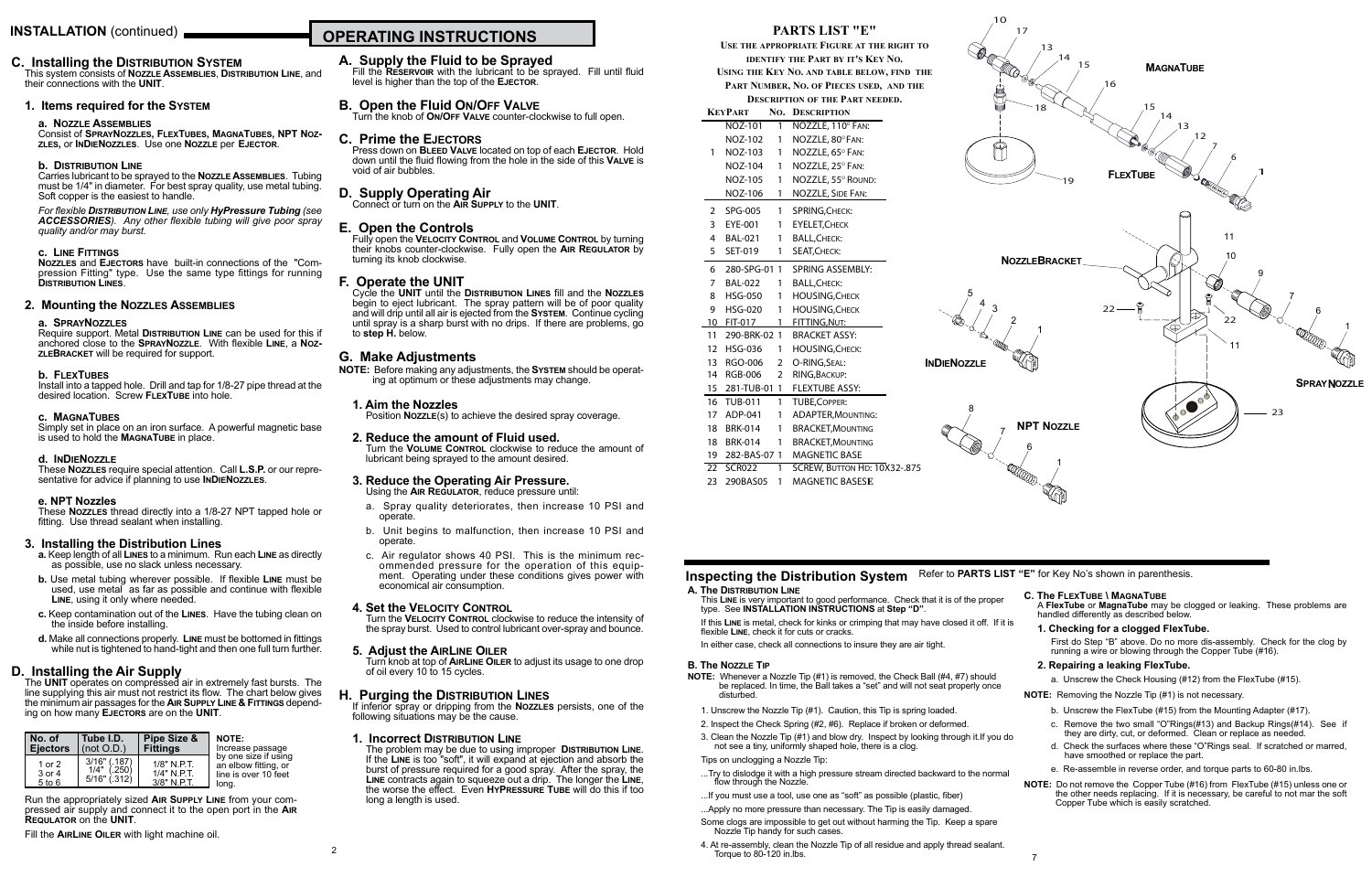# **OPERATING INSTRUCTIONS INSTALLATION** (continued)

## **C. Installing the Distribution System**

This system consists of **Nozzle Assemblies**, **Distribution Line**, and their connections with the **UNIT**.

### **1. Items required for the System**

#### **a. Nozzle Assemblies**

Consist of **SprayNozzles, FlexTubes, MagnaTubes, NPT Nozzles,** or **InDieNozzles**. Use one **Nozzle** per **Ejector**.

#### **b. Distribution Line**

Carries lubricant to be sprayed to the **Nozzle Assemblies**. Tubing must be 1/4" in diameter. For best spray quality, use metal tubing. Soft copper is the easiest to handle.

Install into a tapped hole. Drill and tap for 1/8-27 pipe thread at the desired location. Screw **FlexTube** into hole.

Simply set in place on an iron surface. A powerful magnetic base is used to hold the **MAGNATUBE** in place.

#### *For flexible Distribution Line, use only HyPressure Tubing (see ACCESSORIES). Any other flexible tubing will give poor spray quality and/or may burst.*

#### **c. Line Fittings**

**Nozzles** and **Ejectors** have built-in connections of the "Compression Fitting" type. Use the same type fittings for running **Distribution Lines**.

### **2. Mounting the Nozzles Assemblies**

#### **a. SprayNozzles**

Require support. Metal **Distribution Line** can be used for this if anchored close to the **SprayNozzle**. With flexible **Line**, a **Noz- zleBracket** will be required for support.

#### **b. FlexTubes**

#### **c. MagnaTubes**

#### **d. InDieNozzle**

These **Nozzles** require special attention. Call **L.S.P.** or our representative for advice if planning to use **InDieNozzles**.

### **e. NPT Nozzles**

These **Nozzles** thread directly into a 1/8-27 NPT tapped hole or fitting. Use thread sealant when installing.

## **3. Installing the Distribution Lines**

- **a.** Keep length of all **Lines** to a minimum. Run each **Line** as directly as possible, use no slack unless necessary.
- **b.** Use metal tubing wherever possible. If flexible **Line** must be used, use metal as far as possible and continue with flexible **Line**, using it only where needed.
- **c.** Keep contamination out of the **Lines**. Have the tubing clean on the inside before installing.
- **d.** Make all connections properly. **Line** must be bottomed in fittings while nut is tightened to hand-tight and then one full turn further.
- a. Spray quality deteriorates, then increase 10 PSI and operate.
- b. Unit begins to malfunction, then increase 10 PSI and operate.
- c. Air regulator shows 40 PSI. This is the minimum rec- ommended pressure for the operation of this equip- ment. Operating under these conditions gives power with economical air consumption.

## **D. Installing the Air Supply**

If inferior spray or dripping from the **Nozzles** persists, one of the following situations may be the cause.

The **UNIT** operates on compressed air in extremely fast bursts. The line supplying this air must not restrict its flow. The chart below gives the minimum air passages for the **Air Supply Line & Fittings** depending on how many **Ejectors** are on the **UNIT**.

## **A. Supply the Fluid to be Sprayed**

Fill the **Reservoir** with the lubricant to be sprayed. Fill until fluid level is higher than the top of the **Ejector**.

## **B. Open the Fluid On/Off Valve**

Turn the knob of **On/Off Valve** counter-clockwise to full open.

## **C. Prime the Ejectors**

Press down on **Bleed Valve** located on top of each **Ejector**. Hold down until the fluid flowing from the hole in the side of this **Valve** is void of air bubbles.

# **D. Supply Operating Air** Connect or turn on the **Air Supply** to the **UNIT**.

## **E. Open the Controls**

Fully open the **Velocity Control** and **Volume Control** by turning their knobs counter-clockwise. Fully open the **Air Regulator** by turning its knob clockwise.

## **F. Operate the UNIT**

Cycle the **UNIT** until the **Distribution Lines** fill and the **Nozzles** begin to eject lubricant. The spray pattern will be of poor quality and will drip until all air is ejected from the **System**. Continue cycling until spray is a sharp burst with no drips. If there are problems, go to **step H.** below.

## **G. Make Adjustments**

**NOTE:** Before making any adjustments, the **System** should be operat- ing at optimum or these adjustments may change.

### **1. Aim the Nozzles**

Position **Nozzle**(s) to achieve the desired spray coverage.

### **2. Reduce the amount of Fluid used.**

Turn the **Volume Control** clockwise to reduce the amount of lubricant being sprayed to the amount desired.

#### **3. Reduce the Operating Air Pressure.** Using the **Air Regulator**, reduce pressure until:

First do Step "B" above. Do no more dis-assembly. Check for the clog by running a wire or blowing through the Copper Tube (#16).

### **4. Set the Velocity Control**

Turn the **Velocity Control** clockwise to reduce the intensity of the spray burst. Used to control lubricant over-spray and bounce.

#### **5. Adjust the AirLine Oiler**

Turn knob at top of **AirLine Oiler** to adjust its usage to one drop of oil every 10 to 15 cycles.

## **H. Purging the Distribution Lines**

## **1. Incorrect Distribution Line**

The problem may be due to using improper **Distribution Line**. If the **Line** is too "soft", it will expand at ejection and absorb the burst of pressure required for a good spray. After the spray, the **Line** contracts again to squeeze out a drip. The longer the **Line**, the worse the effect. Even **HyPressure Tube** will do this if too long a length is used.

| No. of                         | Tube I.D.                                          | Pipe Size &                                | NOTE:            |
|--------------------------------|----------------------------------------------------|--------------------------------------------|------------------|
| <b>Ejectors</b>                | $ $ (not O.D.)                                     | <b>Fittings</b>                            | Increase passage |
| 1 or 2<br>3 or 4<br>$5$ to $6$ | $3/16"$ (.187)<br>1/4"<br>(.250)<br>$5/16"$ (.312) | $1/8"$ N PT.<br>1/4" N.P.T.<br>3/8" N.P.T. |                  |

Run the appropriately sized **Air Supply Line** from your com- pressed air supply and connect it to the open port in the **Air Requlator** on the **UNIT**.

Fill the **AirLine Oiler** with light machine oil.

## **PARTS LIST "E"**

**Use the appropriate Figure at the right to identify the Part by it's Key No.**

**Using the Key No. and table below, find the Part Number, No. of Pieces used, and the**

**Description of the Part needed.**

|                         | KEYPART               |                | <b>NO. DESCRIPTION</b>        |
|-------------------------|-----------------------|----------------|-------------------------------|
|                         | $\overline{NOZ}$ -101 | $\mathbf{1}$   | NOZZLE, 110° FAN:             |
|                         | NOZ-102               | 1              | NOZZLE, 80° FAN:              |
| 1                       | NOZ-103               | 1              | NOZZLE, 65° FAN:              |
|                         | NOZ-104               | 1              | NOZZLE, 25° FAN:              |
|                         | NOZ-105               | 1              | NOZZLE, 55° ROUND:            |
|                         | NOZ-106               | 1              | <b>NOZZLE, SIDE FAN:</b>      |
| $\mathbf{2}$            | SPG-005               | $\mathbf{1}$   | SPRING, CHECK:                |
| $\overline{\mathbf{3}}$ | EYE-001               | 1              | <b>EYELET, CHECK</b>          |
| 4                       | <b>BAL-021</b>        | 1              | <b>BALL, CHECK:</b>           |
| 5                       | SET-019               | 1              | SEAT, CHECK:                  |
| 6                       |                       |                | 280-SPG-01 1 SPRING ASSEMBLY: |
| 7                       | <b>BAL-022</b>        | 1              | BALL, CHECK:                  |
| 8                       | <b>HSG-050</b>        | 1              | <b>HOUSING, CHECK</b>         |
| 9                       | <b>HSG-020</b>        | $1 \quad$      | <b>HOUSING, CHECK</b>         |
| 10                      | FIT-017               | 1              | FITTING, NUT:                 |
| 11                      | 290-BRK-02 1          |                | <b>BRACKET ASSY:</b>          |
| 12 <sup>12</sup>        | <b>HSG-036</b>        |                | 1 HOUSING, CHECK:             |
| 13                      | RGO-006               | $\overline{2}$ | O-RING, SEAL:                 |
| 14                      | RGB-006               | $\overline{2}$ | RING, BACKUP:                 |
| 15                      |                       |                | 281-TUB-01 1 FLEXTUBE ASSY:   |
| 16                      | <b>TUB-011</b>        | 1              | <b>TUBE, COPPER:</b>          |
| 17 <sup>2</sup>         | ADP-041               | 1              | <b>ADAPTER, MOUNTING:</b>     |
| 18                      | <b>BRK-014</b>        | 1              | <b>BRACKET, MOUNTING</b>      |
| 18                      | <b>BRK-014</b>        | 1              | <b>BRACKET, MOUNTING</b>      |
|                         | 19 282-BAS-07 1       |                | <b>MAGNETIC BASE</b>          |
| 22                      | <b>SCR022</b>         | $\mathbf{1}$   | SCREW, BUTTON HD: 10X32-.875  |
| 23                      | 290BAS05              | 1              | MAGNETIC BASESE               |

This **Line** is very important to good performance. Check that it is of the proper type. See **INSTALLATION INSTRUCTIONS** at **Step "D"**.

If this **Line** is metal, check for kinks or crimping that may have closed it off. If it is flexible **Line**, check it for cuts or cracks.

In either case, check all connections to insure they are air tight.

## **B. The Nozzle Tip**

- **NOTE:** Whenever a Nozzle Tip (#1) is removed, the Check Ball (#4, #7) should be replaced. In time, the Ball takes a "set" and will not seat properly once disturbed.
- 1. Unscrew the Nozzle Tip (#1). Caution, this Tip is spring loaded.
- 2. Inspect the Check Spring (#2, #6). Replace if broken or deformed.
- 3. Clean the Nozzle Tip (#1) and blow dry. Inspect by looking through it.If you do not see a tiny, uniformly shaped hole, there is a clog.
- Tips on unclogging a Nozzle Tip:
- ...Try to dislodge it with a high pressure stream directed backward to the normal flow through the Nozzle.
- ...If you must use a tool, use one as "soft" as possible (plastic, fiber)
- ...Apply no more pressure than necessary. The Tip is easily damaged. Some clogs are impossible to get out without harming the Tip. Keep a spare Nozzle Tip handy for such cases.
- 4. At re-assembly, clean the Nozzle Tip of all residue and apply thread sealant. Torque to 80-120 in.lbs.



## **C. The FlexTube \ MagnaTube**

A **FlexTube** or **MagnaTube** may be clogged or leaking. These problems are handled differently as described below.

## **1. Checking for a clogged FlexTube.**

## **2. Repairing a leaking FlexTube.**

a. Unscrew the Check Housing (#12) from the FlexTube (#15).

**NOTE:** Removing the Nozzle Tip (#1) is not necessary.

- b. Unscrew the FlexTube (#15) from the Mounting Adapter (#17).
- c. Remove the two small "O"Rings(#13) and Backup Rings(#14). See if they are dirty, cut, or deformed. Clean or replace as needed.
- d. Check the surfaces where these "O"Rings seal. If scratched or marred, have smoothed or replace the part.
- e. Re-assemble in reverse order, and torque parts to 60-80 in.lbs.
- **NOTE:** Do not remove the Copper Tube (#16) from FlexTube (#15) unless one or the other needs replacing. If it is necessary, be careful to not mar the soft Copper Tube which is easily scratched.



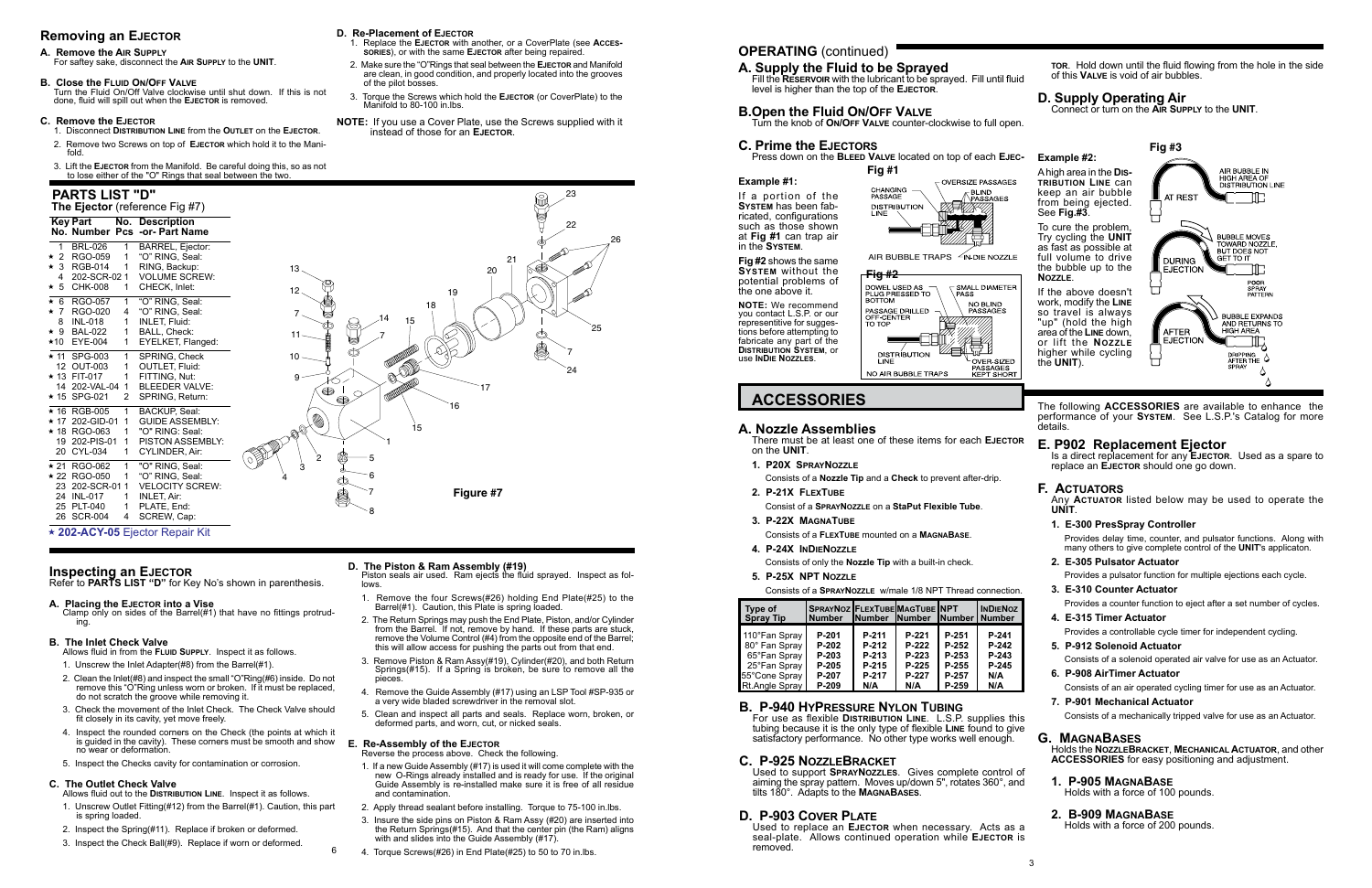## **OPERATING** (continued)

**ACCESSORIES** The following **ACCESSORIES** are available to enhance the performance of your **System**. See L.S.P.'s Catalog for more details.

**Example #2:**

See **Fig.#3**.

**Nozzle**.

For use as flexible **Distribution Line**. L.S.P. supplies this tubing because it is the only type of flexible **Line** found to give satisfactory performance. No other type works well enough.

the **UNIT**).

## **Example #1:**

If a portion of the **System** has been fabricated, configurations such as those shown at **Fig #1** can trap air in the **System**.

#### **Fig #2** shows the same **System** without the potential problems of the one above it.

**NOTE:** We recommend you contact L.S.P. or our representitive for suggestions before attempting to fabricate any part of the **Distribution System**, or use **InDie Nozzles**.

## **B. P-940 HyPressure Nylon Tubing**

**E. P902 Replacement Ejector** Is a direct replacement for any **EJECTOR.** Used as a spare to replace an **Ejector** should one go down.

## **C. P-925 NozzleBracket**

Used to support **SprayNozzles**. Gives complete control of aiming the spray pattern. Moves up/down 5", rotates 360°, and tilts 180°. Adapts to the **MagnaBases**.

## **D. P-903 Cover Plate**

Used to replace an **Ejector** when necessary. Acts as a seal-plate. Allows continued operation while **Ejector** is removed.

## **A. Supply the Fluid to be Sprayed**

- Fill the **Reservoir** with the lubricant to be sprayed. Fill until fluid level is higher than the top of the **Ejector**.
- **B.Open the Fluid On/Off Valve** Turn the knob of **On/Off Valve** counter-clockwise to full open.

## **C. Prime the Ejectors**

Press down on the **Bleed Valve** located on top of each **Ejec-**

**tor**. Hold down until the fluid flowing from the hole in the side of this **Valve** is void of air bubbles.

# **D. Supply Operating Air** Connect or turn on the **Air Supply** to the **UNIT**.

## **F. Actuators**

Any **Actuator** listed below may be used to operate the **UNIT**.

## **1. E-300 PresSpray Controller**



Provides delay time, counter, and pulsator functions. Along with many others to give complete control of the **UNIT**'s applicaton.

**2. E-305 Pulsator Actuator**

Provides a pulsator function for multiple ejections each cycle.

**3. E-310 Counter Actuator**

Provides a counter function to eject after a set number of cycles.

## **4. E-315 Timer Actuator**

Provides a controllable cycle timer for independent cycling.

- **5. P-912 Solenoid Actuator** Consists of a solenoid operated air valve for use as an Actuator.
- **6. P-908 AirTimer Actuator** Consists of an air operated cycling timer for use as an Actuator.
- **7. P-901 Mechanical Actuator** Consists of a mechanically tripped valve for use as an Actuator.

## **G. MagnaBases**

Holds the **NozzleBracket**, **Mechanical Actuator**, and other **ACCESSORIES** for easy positioning and adjustment.

## **1. P-905 MagnaBase**

Holds with a force of 100 pounds.

## **2. B-909 MagnaBase**

Holds with a force of 200 pounds.

## **A. Nozzle Assemblies**

There must be at least one of these items for each **Ejector** on the **UNIT**.

- **1. P20X SprayNozzle**
	- Consists of a **Nozzle Tip** and a **Check** to prevent after-drip.
- **2. P-21X FlexTube**
- Consist of a **SprayNozzle** on a **StaPut Flexible Tube**.
- **3. P-22X MagnaTube**
	- Consists of a **FlexTube** mounted on a **MagnaBase**.
- **4. P-24X InDieNozzle**

Consists of only the **Nozzle Tip** with a built-in check.

**5. P-25X NPT Nozzle**



6

Reverse the process above. Check the following.



AIR BUBBLE TRAPS 4N-DIE NOZZLE



## **Removing an Ejector**

#### **A. Remove the Air Supply**

For saftey sake, disconnect the **Air Supply** to the **UNIT**.

## **B. Close the Fluid On/Off Valve**

Turn the Fluid On/Off Valve clockwise until shut down. If this is not done, fluid will spill out when the **Ejector** is removed.

### **C. Remove the Ejector**

- 1. Disconnect **Distribution Line** from the **Outlet** on the **Ejector**.
- 2. Remove two Screws on top of **Ejector** which hold it to the Manifold.
- 3. Lift the **Ejector** from the Manifold. Be careful doing this, so as not to lose either of the "O" Rings that seal between the two.

## **D. Re-Placement of Ejector**

- 1. Replace the **Ejector** with another, or a CoverPlate (see **Accessories**), or with the same **Ejector** after being repaired.
- 2. Make sure the "O"Rings that seal between the **Ejector** and Manifold are clean, in good condition, and properly located into the grooves of the pilot bosses.
- 3. Torque the Screws which hold the **Ejector** (or CoverPlate) to the Manifold to 80-100 in.lbs.
- **NOTE:** If you use a Cover Plate, use the Screws supplied with it instead of those for an **Ejector**.

## **D. The Piston & Ram Assembly (#19)**

Piston seals air used. Ram ejects the fluid sprayed. Inspect as fol**lows** 

- 1. Remove the four Screws(#26) holding End Plate(#25) to the Barrel(#1). Caution, this Plate is spring loaded.
- 2. The Return Springs may push the End Plate, Piston, and/or Cylinder from the Barrel. If not, remove by hand. If these parts are stuck, remove the Volume Control (#4) from the opposite end of the Barrel; this will allow access for pushing the parts out from that end.
- 3. Remove Piston & Ram Assy(#19), Cylinder(#20), and both Return Springs(#15). If a Spring is broken, be sure to remove all the pieces.
- 4. Remove the Guide Assembly (#17) using an LSP Tool #SP-935 or a very wide bladed screwdriver in the removal slot.
- 5. Clean and inspect all parts and seals. Replace worn, broken, or deformed parts, and worn, cut, or nicked seals.

## **E. Re-Assembly of the Ejector**

Consists of a **SprayNozzle** w/male 1/8 NPT Thread connection.

| Type of<br><b>Spray Tip</b> | <b>SPRAYNOZ FLEXTUBE MAGTUBE INPT</b><br><b>Number</b> | <b>INumber INumber</b> |         | <b>INumber</b> | <b>INDIENO</b><br><b>Number</b> |
|-----------------------------|--------------------------------------------------------|------------------------|---------|----------------|---------------------------------|
| 110°Fan Spray               | P-201                                                  | P-211                  | P-221   | P-251          | P-241                           |
| 80° Fan Spray               | P-202                                                  | P-212                  | P-222   | P-252          | P-242                           |
| 65°Fan Spray                | P-203                                                  | P-213                  | P-223   | P-253          | P-243                           |
| 25°Fan Spray                | P-205                                                  | P-215                  | $P-225$ | P-255          | P-245                           |
| 55°Cone Spray               | P-207                                                  | P-217                  | P-227   | P-257          | N/A                             |
| Rt.Angle Sprav              | P-209                                                  | N/A                    | N/A     | P-259          | N/A                             |

- 1. If a new Guide Assembly (#17) is used it will come complete with the new O-Rings already installed and is ready for use. If the original Guide Assembly is re-installed make sure it is free of all residue and contamination.
- 2. Apply thread sealant before installing. Torque to 75-100 in.lbs.
- 3. Insure the side pins on Piston & Ram Assy (#20) are inserted into the Return Springs(#15). And that the center pin (the Ram) aligns with and slides into the Guide Assembly (#17).
- 4. Torque Screws(#26) in End Plate(#25) to 50 to 70 in.lbs.

## **Inspecting an Ejector**

Refer to **PARTS LIST "D"** for Key No's shown in parenthesis.

## **A. Placing the Ejector into a Vise**

Clamp only on sides of the Barrel(#1) that have no fittings protruding.

## **B. The Inlet Check Valve**

Allows fluid in from the **Fluid Supply**. Inspect it as follows.

- 1. Unscrew the Inlet Adapter(#8) from the Barrel(#1).
- 2. Clean the Inlet(#8) and inspect the small "O"Ring(#6) inside. Do not remove this "O"Ring unless worn or broken. If it must be replaced, do not scratch the groove while removing it.
- 3. Check the movement of the Inlet Check. The Check Valve should fit closely in its cavity, yet move freely.
- 4. Inspect the rounded corners on the Check (the points at which it is guided in the cavity). These corners must be smooth and show no wear or deformation.
- 5. Inspect the Checks cavity for contamination or corrosion.

## **C. The Outlet Check Valve**

- Allows fluid out to the **Distribution Line**. Inspect it as follows. 1. Unscrew Outlet Fitting(#12) from the Barrel(#1). Caution, this part is spring loaded.
- 2. Inspect the Spring(#11). Replace if broken or deformed.
- 3. Inspect the Check Ball(#9). Replace if worn or deformed.

## **PARTS LIST "D"**

| <b>Key Part</b>                |    | No. Description<br>No. Number Pcs -or- Part Name |             |
|--------------------------------|----|--------------------------------------------------|-------------|
| $\mathbf{1}$<br><b>BRL-026</b> | 1. | BARREL, Ejector:                                 |             |
| $\star$ 2<br>RGO-059           | 1  | "O" RING, Seal:                                  |             |
| $\star$ 3 RGB-014              | 1  | RING, Backup:                                    | 13<         |
| 202-SCR-02 1<br>4              |    | <b>VOLUME SCREW:</b>                             |             |
| $\star$ 5<br>CHK-008           | 1  | CHECK, Inlet:                                    | $12_{\sim}$ |
| ★ 6 RGO-057                    | 1  | "O" RING, Seal:                                  |             |
| ★ 7 RGO-020                    | 4  | "O" RING, Seal:                                  |             |
| 8<br>INL-018                   | 1  | <b>INLET, Fluid:</b>                             |             |
| ★ 9 BAL-022                    | 1  | BALL, Check:                                     |             |
| ★10 EYE-004                    | 1  | EYELKET, Flanged:                                |             |
| ★ 11 SPG-003                   | 1  | SPRING, Check                                    |             |
| 12 OUT-003                     | 1  | <b>OUTLET, Fluid:</b>                            |             |
| ★ 13 FIT-017                   | 1  | FITTING. Nut:                                    |             |
| 14 202-VAL-04 1                |    | <b>BLEEDER VALVE:</b>                            |             |
| ★ 15 SPG-021                   | 2  | SPRING, Return:                                  |             |
| ★ 16 RGB-005                   | 1  | <b>BACKUP, Seal:</b>                             |             |
| ★ 17 202-GID-01                | 1  | <b>GUIDE ASSEMBLY:</b>                           |             |
| ★ 18 RGO-063                   | 1  | "O" RING: Seal:                                  |             |
| 19 202-PIS-01                  | 1  | PISTON ASSEMBLY:                                 |             |
| CYL-034<br>20                  | 1  | CYLINDER, Air:                                   |             |
| ★ 21 RGO-062                   | 1  | "O" RING, Seal:                                  |             |
| ★ 22 RGO-050                   | 1  | "O" RING, Seal:                                  | 4           |
| 23 202-SCR-01                  | 1  | <b>VELOCITY SCREW:</b>                           |             |
| 24 INL-017                     | 1  | <b>INLET, Air:</b>                               |             |
| 25 PLT-040                     | 1  | PLATE, End:                                      |             |
| 26 SCR-004                     | 4  | SCREW, Cap:                                      |             |

## 0 **202-ACY-05** Ejector Repair Kit